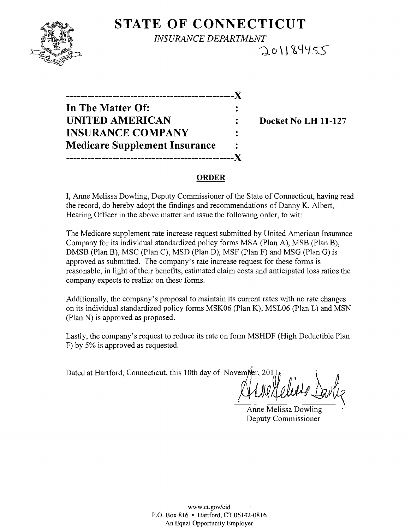

## **STATE OF CONNECTICUT**  *INSURANCE DEPARTMENT*  201184455

| .                                    |  |
|--------------------------------------|--|
| In The Matter Of:                    |  |
| <b>UNITED AMERICAN</b>               |  |
| <b>INSURANCE COMPANY</b>             |  |
| <b>Medicare Supplement Insurance</b> |  |
|                                      |  |

**Docket No LH 11-127** 

#### **ORDER**

I, Anne Melissa Dowling, Deputy Commissioner of the State of Connecticut, having read the record, do hereby adopt the findings and recommendations of Danny K. Albert, Hearing Officer in the above matter and issue the following order, to wit:

The Medicare supplement rate increase request submitted by United American Insurance Company for its individual standardized policy forms MSA (Plan A), MSB (Plan B), DMSB (Plan B), MSC (Plan C), MSD (Plan D), MSF (Plan F) and MSG (Plan G) is approved as submitted. The company's rate increase request for these forms is reasonable, in light of their benefits, estimated claim costs and anticipated loss ratios the company expects to realize on these forms.

Additionally, the company's proposal to maintain its current rates with no rate changes on its individual standardized policy forms MSK06 (Plan K), MSL06 (Plan L) and MSN (Plan N) is approved as proposed.

Lastly, the company's request to reduce its rate on form MSHDF (High Deductible Plan F) by 5% is approved as requested.

fo Dated at Hartford, Connecticut, this 10th day of November, 2011  $\int_{\lambda}^{1}$ 

• <u>III in the set of the set of the set of the set of the set of the set of the set of the set of the set of the s</u>

Anne Melissa Dowling Deputy Commissioner

www.cLgov/cid P.O. Box 816 • Hartford, CT 06142-0816 An Equal Opportunity Employer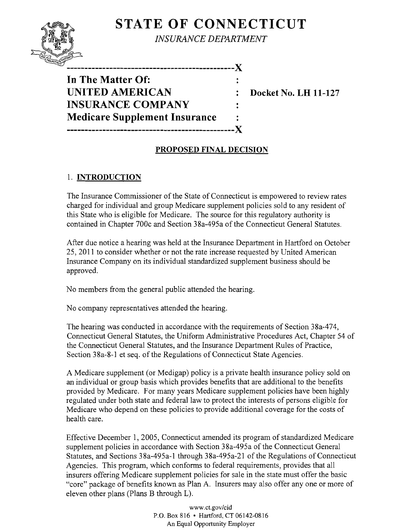# **STATE OF CONNECTICUT**



*INSURANCE DEPARTMENT* 

------------------------X **In The Matter Of: UNITED AMERICAN** : Docket No. LH 11-127 **INSURANCE COMPANY Medicare Supplement Insurance -----------------------------------------------)(** 

## **PROPOSED FINAL DECISION**

## 1. **INTRODUCTION**

The Insurance Commissioner of the State of Connecticut is empowered to review rates charged for individual and group Medicare supplement policies sold to any resident of this State who is eligible for Medicare. The source for this regulatory authority is contained in Chapter 700c and Section 38a-495a of the Connecticut General Statutes.

After due notice a hearing was held at the Insurance Department in Hartford on October 25,2011 to consider whether or not the rate increase requested by United American Insurance Company on its individual standardized supplement business should be approved.

No members from the general public attended the hearing.

No company representatives attended the hearing.

The hearing was conducted in accordance with the requirements of Section 38a-474, Connecticut General Statutes, the Uniform Administrative Procedures Act, Chapter 54 of the Connecticut General Statutes, and the Insurance Department Rules of Practice, Section 38a-8-1 et seq. of the Regulations of Connecticut State Agencies.

A Medicare supplement (or Medigap) policy is a private health insurance policy sold on an individual or group basis which provides benefits that are additional to the benefits provided by Medicare. For many years Medicare supplement policies have been highly regulated under both state and federal law to protect the interests of persons eligible for Medicare who depend on these policies to provide additional coverage for the costs of health care.

Effective December 1,2005, Connecticut amended its program of standardized Medicare supplement policies in accordance with Section 38a-495a of the Connecticut General Statutes, and Sections 38a-495a-1 through 38a-495a-21 of the Regulations of Connecticut Agencies. This program, which conforms to federal requirements, provides that all insurers offering Medicare supplement policies for sale in the state must offer the basic "core" package of benefits known as Plan A. Insurers may also offer anyone or more of eleven other plans (Plans B through L).

> www.ct.gov/cid P.O. Box 816 • Hartford, CT 06142-0816 An Equal Opportunity Employer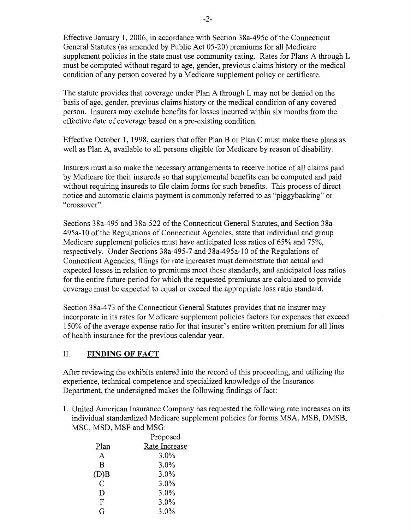Effective January 1,2006, in accordance with Section 38a-495c of the Connecticut General Statutes (as amended by Public Act 05-20) premiums for all Medicare supplement policies in the state must use community rating. Rates for Plans A through L must be computed without regard to age, gender, previous claims history or the medical condition of any person covered by a Medicare supplement policy or certificate.

The statute provides that coverage under Plan A through L may not be denied on the basis of age, gender, previous claims history or the medical condition of any covered person. Insurers may exclude benefits for losses incurred within six months from the effective date of coverage based on a pre-existing condition.

Effective October 1, 1998, carriers that offer Plan B or Plan C must make these plans as well as Plan A, available to all persons eligible for Medicare by reason of disability.

Insurers must also make the necessary arrangements to receive notice of all claims paid by Medicare for their insureds so that supplemental benefits can be computed and paid without requiring insureds to file claim forms for such benefits. This process of direct notice and automatic claims payment is commonly referred to as "piggybacking" or "crossover".

Sections 38a-495 and 38a-522 of the Connecticut General Statutes, and Section 38a-495a-l0 of the Regulations of Connecticut Agencies, state that individual and group Medicare supplement policies must have anticipated loss ratios of 65% and 75%, respectively. Under Sections 38a-495-7 and 38a-495a-l0 of the Regulations of Connecticut Agencies, filings for rate increases must demonstrate that actual and expected losses in relation to premiums meet these standards, and anticipated loss ratios for the entire future period for which the requested premiums are calculated to provide coverage must be expected to equal or exceed the appropriate loss ratio standard.

Section 38a-473 of the Connecticut General Statutes provides that no insurer may incorporate in its rates for Medicare supplement policies factors for expenses that exceed 150% of the average expense ratio for that insurer's entire written premium for all lines of health insurance for the previous calendar year.

### II. **FINDING OF FACT**

After reviewing the exhibits entered into the record of this proceeding, and utilizing the experience, technical competence and specialized knowledge of the Insurance Department, the undersigned makes the following findings of fact:

1. United American Insurance Company has requested the following rate increases on its individual standardized Medicare supplement policies for forms MSA, MSB, DMSB, MSC, MSD, MSF and MSG:

|      | Proposed      |
|------|---------------|
| Plan | Rate Increase |
| A    | 3.0%          |
| В    | 3.0%          |
| (D)B | 3.0%          |
| Ċ    | 3.0%          |
| Ð    | 3.0%          |
| F    | 3.0%          |
| G    | 3.0%          |
|      |               |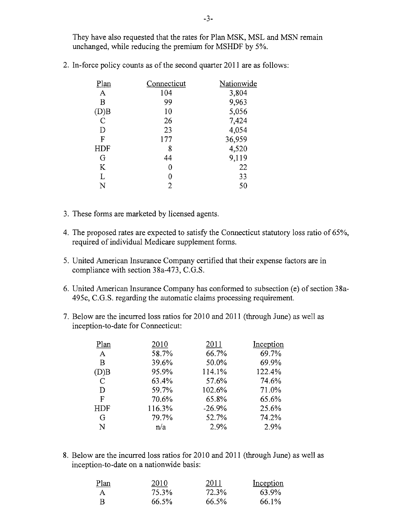They have also requested that the rates for Plan MSK, MSL and MSN remain unchanged, while reducing the premium for MSHDF by 5%.

2. In-force policy counts as of the second quarter 2011 are as follows:

| Connecticut | Nationwide |
|-------------|------------|
| 104         | 3,804      |
| 99          | 9,963      |
| 10          | 5,056      |
| 26          | 7,424      |
| 23          | 4,054      |
| 177         | 36,959     |
| 8           | 4,520      |
| 44          | 9,119      |
| 0           | 22         |
| 0           | 33         |
| 2           | 50         |
|             |            |

- 3. These forms are marketed by licensed agents.
- 4. The proposed rates are expected to satisfy the Connecticut statutory loss ratio of 65%, required of individual Medicare supplement forms.
- 5. United American Insurance Company certified that their expense factors are in compliance with section 38a-473, C.G.S.
- 6. United American Insurance Company has conformed to subsection (e) of section 38a-495c, C.G.S. regarding the automatic claims processing requirement.
- 7. Below are the incurred loss ratios for 2010 and 2011 (through June) as well as inception-to-date for Connecticut:

| Plan             | 2010   | 2011     | Inception |
|------------------|--------|----------|-----------|
| $\boldsymbol{A}$ | 58.7%  | 66.7%    | 69.7%     |
| Β                | 39.6%  | 50.0%    | 69.9%     |
| (D)B             | 95.9%  | 114.1%   | 122.4%    |
| $\mathcal{C}$    | 63.4%  | 57.6%    | 74.6%     |
| D                | 59.7%  | 102.6%   | 71.0%     |
| F                | 70.6%  | 65.8%    | 65.6%     |
| HDF              | 116.3% | $-26.9%$ | 25.6%     |
| G                | 79.7%  | 52.7%    | 74.2%     |
| N                | n/a    | 2.9%     | 2.9%      |
|                  |        |          |           |

8. Below are the incurred loss ratios for 2010 and 2011 (through June) as well as inception-to-date on a nationwide basis:

| Plan | 2010  | 2011  | Inception |
|------|-------|-------|-----------|
| A    | 75.3% | 72.3% | 63.9%     |
| -R   | 66.5% | 66.5% | 66.1%     |